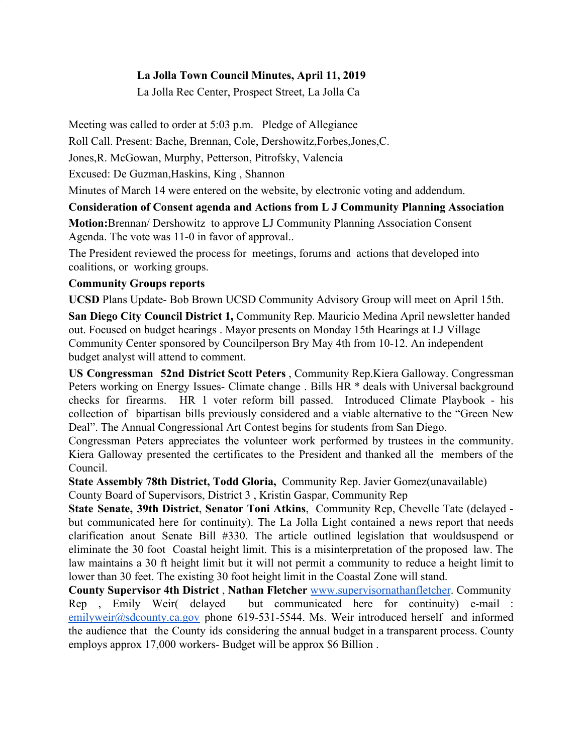### **La Jolla Town Council Minutes, April 11, 2019**

La Jolla Rec Center, Prospect Street, La Jolla Ca

Meeting was called to order at 5:03 p.m. Pledge of Allegiance

Roll Call. Present: Bache, Brennan, Cole, Dershowitz,Forbes,Jones,C.

Jones,R. McGowan, Murphy, Petterson, Pitrofsky, Valencia

Excused: De Guzman,Haskins, King , Shannon

Minutes of March 14 were entered on the website, by electronic voting and addendum.

# **Consideration of Consent agenda and Actions from L J Community Planning Association**

**Motion:**Brennan/ Dershowitz to approve LJ Community Planning Association Consent Agenda. The vote was 11-0 in favor of approval..

The President reviewed the process for meetings, forums and actions that developed into coalitions, or working groups.

## **Community Groups reports**

**UCSD** Plans Update- Bob Brown UCSD Community Advisory Group will meet on April 15th.

**San Diego City Council District 1,** Community Rep. Mauricio Medina April newsletter handed out. Focused on budget hearings . Mayor presents on Monday 15th Hearings at LJ Village Community Center sponsored by Councilperson Bry May 4th from 10-12. An independent budget analyst will attend to comment.

**US Congressman 52nd District Scott Peters** , Community Rep.Kiera Galloway. Congressman Peters working on Energy Issues- Climate change . Bills HR  $*$  deals with Universal background checks for firearms. HR 1 voter reform bill passed. Introduced Climate Playbook - his collection of bipartisan bills previously considered and a viable alternative to the "Green New Deal". The Annual Congressional Art Contest begins for students from San Diego.

Congressman Peters appreciates the volunteer work performed by trustees in the community. Kiera Galloway presented the certificates to the President and thanked all the members of the Council.

**State Assembly 78th District, Todd Gloria,** Community Rep. Javier Gomez(unavailable) County Board of Supervisors, District 3 , Kristin Gaspar, Community Rep

**State Senate, 39th District**, **Senator Toni Atkins**, Community Rep, Chevelle Tate (delayed but communicated here for continuity). The La Jolla Light contained a news report that needs clarification anout Senate Bill #330. The article outlined legislation that wouldsuspend or eliminate the 30 foot Coastal height limit. This is a misinterpretation of the proposed law. The law maintains a 30 ft height limit but it will not permit a community to reduce a height limit to lower than 30 feet. The existing 30 foot height limit in the Coastal Zone will stand.

**County Supervisor 4th District** , **Nathan Fletcher** [www.supervisornathanfletcher](http://www.supervisornathanfletcher/). Community Rep , Emily Weir( delayed but communicated here for continuity) e-mail : [emilyweir@sdcounty.ca.gov](mailto:emilyweir@sdcounty.ca.gov) phone 619-531-5544. Ms. Weir introduced herself and informed the audience that the County ids considering the annual budget in a transparent process. County employs approx 17,000 workers- Budget will be approx \$6 Billion .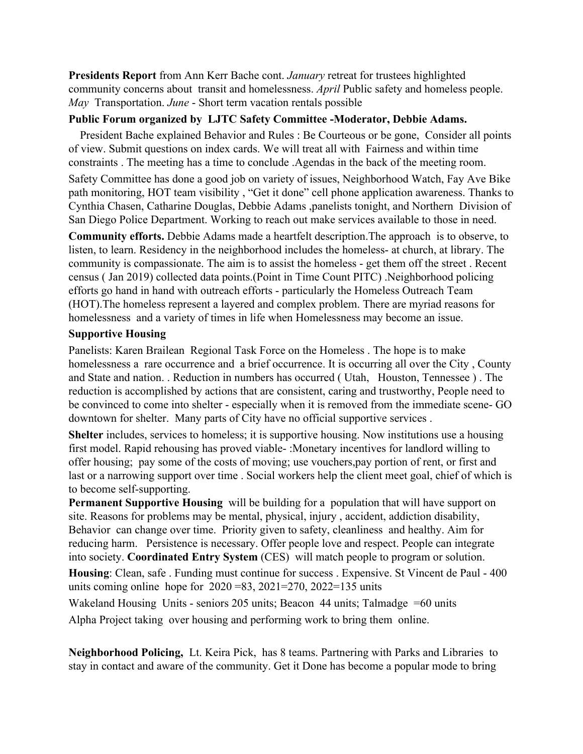**Presidents Report** from Ann Kerr Bache cont. *January* retreat for trustees highlighted community concerns about transit and homelessness. *April* Public safety and homeless people. *May* Transportation. *June* - Short term vacation rentals possible

#### **Public Forum organized by LJTC Safety Committee -Moderator, Debbie Adams.**

 President Bache explained Behavior and Rules : Be Courteous or be gone, Consider all points of view. Submit questions on index cards. We will treat all with Fairness and within time constraints . The meeting has a time to conclude .Agendas in the back of the meeting room.

Safety Committee has done a good job on variety of issues, Neighborhood Watch, Fay Ave Bike path monitoring, HOT team visibility , "Get it done" cell phone application awareness. Thanks to Cynthia Chasen, Catharine Douglas, Debbie Adams ,panelists tonight, and Northern Division of San Diego Police Department. Working to reach out make services available to those in need.

**Community efforts.** Debbie Adams made a heartfelt description.The approach is to observe, to listen, to learn. Residency in the neighborhood includes the homeless- at church, at library. The community is compassionate. The aim is to assist the homeless - get them off the street . Recent census ( Jan 2019) collected data points.(Point in Time Count PITC) .Neighborhood policing efforts go hand in hand with outreach efforts - particularly the Homeless Outreach Team (HOT).The homeless represent a layered and complex problem. There are myriad reasons for homelessness and a variety of times in life when Homelessness may become an issue.

#### **Supportive Housing**

Panelists: Karen Brailean Regional Task Force on the Homeless . The hope is to make homelessness a rare occurrence and a brief occurrence. It is occurring all over the City , County and State and nation. . Reduction in numbers has occurred ( Utah, Houston, Tennessee ) . The reduction is accomplished by actions that are consistent, caring and trustworthy, People need to be convinced to come into shelter - especially when it is removed from the immediate scene- GO downtown for shelter. Many parts of City have no official supportive services .

**Shelter** includes, services to homeless; it is supportive housing. Now institutions use a housing first model. Rapid rehousing has proved viable- :Monetary incentives for landlord willing to offer housing; pay some of the costs of moving; use vouchers,pay portion of rent, or first and last or a narrowing support over time . Social workers help the client meet goal, chief of which is to become self-supporting.

**Permanent Supportive Housing** will be building for a population that will have support on site. Reasons for problems may be mental, physical, injury , accident, addiction disability, Behavior can change over time. Priority given to safety, cleanliness and healthy. Aim for reducing harm. Persistence is necessary. Offer people love and respect. People can integrate into society. **Coordinated Entry System** (CES) will match people to program or solution.

**Housing**: Clean, safe . Funding must continue for success . Expensive. St Vincent de Paul - 400 units coming online hope for  $2020 = 83$ ,  $2021 = 270$ ,  $2022 = 135$  units

Wakeland Housing Units - seniors 205 units; Beacon 44 units; Talmadge =60 units Alpha Project taking over housing and performing work to bring them online.

**Neighborhood Policing,** Lt. Keira Pick, has 8 teams. Partnering with Parks and Libraries to stay in contact and aware of the community. Get it Done has become a popular mode to bring